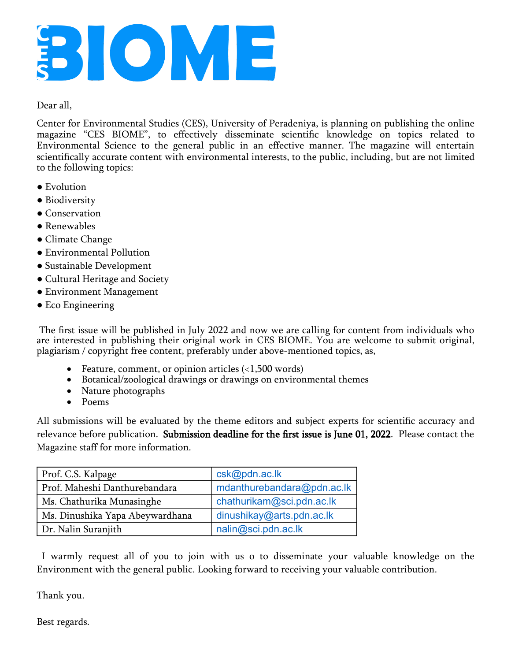

## Dear all,

Center for Environmental Studies (CES), University of Peradeniya, is planning on publishing the online magazine "CES BIOME", to effectively disseminate scientific knowledge on topics related to Environmental Science to the general public in an effective manner. The magazine will entertain scientifically accurate content with environmental interests, to the public, including, but are not limited to the following topics:

- Evolution
- Biodiversity
- Conservation
- Renewables
- Climate Change
- Environmental Pollution
- Sustainable Development
- Cultural Heritage and Society
- Environment Management
- Eco Engineering

The first issue will be published in July 2022 and now we are calling for content from individuals who are interested in publishing their original work in CES BIOME. You are welcome to submit original, plagiarism / copyright free content, preferably under above-mentioned topics, as,

- Feature, comment, or opinion articles  $\langle$  < 1,500 words)
- · Botanical/zoological drawings or drawings on environmental themes
- Nature photographs
- · Poems

All submissions will be evaluated by the theme editors and subject experts for scientific accuracy and relevance before publication. Submission deadline for the first issue is June 01, 2022. Please contact the Magazine staff for more information.

| Prof. C.S. Kalpage              | csk@pdn.ac.lk              |
|---------------------------------|----------------------------|
| Prof. Maheshi Danthurebandara   | mdanthurebandara@pdn.ac.lk |
| Ms. Chathurika Munasinghe       | chathurikam@sci.pdn.ac.lk  |
| Ms. Dinushika Yapa Abeywardhana | dinushikay@arts.pdn.ac.lk  |
| Dr. Nalin Suranjith             | nalin@sci.pdn.ac.lk        |

I warmly request all of you to join with us o to disseminate your valuable knowledge on the Environment with the general public. Looking forward to receiving your valuable contribution.

Thank you.

Best regards.